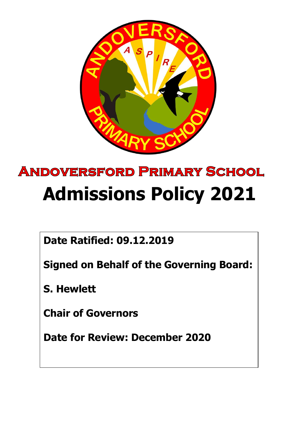

# **ANDOVERSFORD PRIMARY SCHOOL Admissions Policy 2021**

**Date Ratified: 09.12.2019**

**Signed on Behalf of the Governing Board:**

**S. Hewlett**

**Chair of Governors**

**Date for Review: December 2020**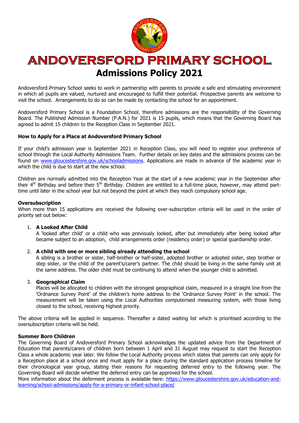

# **ANDOVERSFORD PRIMARY SCHOOL Admissions Policy 2021**

Andoversford Primary School seeks to work in partnership with parents to provide a safe and stimulating environment in which all pupils are valued, nurtured and encouraged to fulfill their potential. Prospective parents are welcome to visit the school. Arrangements to do so can be made by contacting the school for an appointment.

Andoversford Primary School is a Foundation School, therefore admissions are the responsibility of the Governing Board. The Published Admission Number (P.A.N.) for 2021 is 15 pupils, which means that the Governing Board has agreed to admit 15 children to the Reception Class in September 2021.

# **How to Apply for a Place at Andoversford Primary School**

If your child's admission year is September 2021 in Reception Class, you will need to register your preference of school through the Local Authority Admissions Team. Further details on key dates and the admissions process can be found on [www.gloucestershire.gov.uk/schooladmissions.](http://www.gloucestershire.gov.uk/schooladmissions) Applications are made in advance of the academic year in which the child is due to start at the new school.

Children are normally admitted into the Reception Year at the start of a new academic year in the September after their  $4<sup>th</sup>$  Birthday and before their  $5<sup>th</sup>$  Birthday. Children are entitled to a full-time place, however, may attend parttime until later in the school year but not beyond the point at which they reach compulsory school age.

#### **Oversubscription**

When more than 15 applications are received the following over-subscription criteria will be used in the order of priority set out below:

# 1. **A Looked After Child**

A 'looked after child' or a child who was previously looked, after but immediately after being looked after became subject to an adoption, child arrangements order (residency order) or special guardianship order.

#### 2. **A child with one or more sibling already attending the school**

A sibling is a brother or sister, half-brother or half-sister, adopted brother or adopted sister, step brother or step sister, or the child of the parent's/carer's partner. The child should be living in the same family unit at the same address. The older child must be continuing to attend when the younger child is admitted.

#### 3. **Geographical Claim**

Places will be allocated to children with the strongest geographical claim, measured in a straight line from the 'Ordnance Survey Point' of the children's home address to the 'Ordnance Survey Point' in the school. The measurement will be taken using the Local Authorities computerised measuring system, with those living closest to the school, receiving highest priority.

The above criteria will be applied in sequence. Thereafter a dated waiting list which is prioritised according to the oversubscription criteria will be held.

#### **Summer Born Children**

The Governing Board of Andoversford Primary School acknowledges the updated advice from the Department of Education that parents/carers of children born between 1 April and 31 August may request to start the Reception Class a whole academic year later. We follow the Local Authority process which states that parents can only apply for a Reception place at a school once and must apply for a place during the standard application process timeline for their chronological year group, stating their reasons for requesting deferred entry to the following year. The Governing Board will decide whether the deferred entry can be approved for the school.

More information about the deferment process is available here: [https://www.gloucestershire.gov.uk/education-and](https://www.gloucestershire.gov.uk/education-and-learning/school-admissions/apply-for-a-primary-or-infant-school-place/)[learning/school-admissions/apply-for-a-primary-or-infant-school-place/](https://www.gloucestershire.gov.uk/education-and-learning/school-admissions/apply-for-a-primary-or-infant-school-place/)